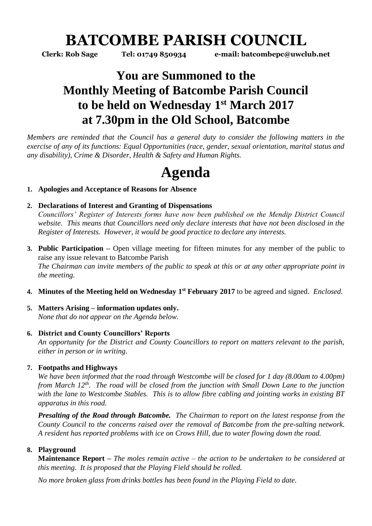# **BATCOMBE PARISH COUNCIL**

**Clerk: Rob Sage Tel: 01749 850934 e-mail: batcombepc@uwclub.net**

# **You are Summoned to the Monthly Meeting of Batcombe Parish Council to be held on Wednesday 1 st March 2017 at 7.30pm in the Old School, Batcombe**

*Members are reminded that the Council has a general duty to consider the following matters in the exercise of any of its functions: Equal Opportunities (race, gender, sexual orientation, marital status and any disability), Crime & Disorder, Health & Safety and Human Rights.* 

# **Agenda**

# **1. Apologies and Acceptance of Reasons for Absence**

# **2. Declarations of Interest and Granting of Dispensations**

*Councillors' Register of Interests forms have now been published on the Mendip District Council website. This means that Councillors need only declare interests that have not been disclosed in the Register of Interests. However, it would be good practice to declare any interests.*

- **3. Public Participation –** Open village meeting for fifteen minutes for any member of the public to raise any issue relevant to Batcombe Parish *The Chairman can invite members of the public to speak at this or at any other appropriate point in the meeting.*
- **4. Minutes of the Meeting held on Wednesday 1 st February 2017** to be agreed and signed. *Enclosed.*
- **5. Matters Arising – information updates only.**  *None that do not appear on the Agenda below.*

### **6. District and County Councillors' Reports**

*An opportunity for the District and County Councillors to report on matters relevant to the parish, either in person or in writing.* 

### **7. Footpaths and Highways**

*We have been informed that the road through Westcombe will be closed for 1 day (8.00am to 4.00pm) from March 12th. The road will be closed from the junction with Small Down Lane to the junction with the lane to Westcombe Stables. This is to allow fibre cabling and jointing works in existing BT apparatus in this road.* 

*Presalting of the Road through Batcombe. The Chairman to report on the latest response from the County Council to the concerns raised over the removal of Batcombe from the pre-salting network. A resident has reported problems with ice on Crows Hill, due to water flowing down the road.*

# **8. Playground**

**Maintenance Report –** *The moles remain active – the action to be undertaken to be considered at this meeting. It is proposed that the Playing Field should be rolled.*

*No more broken glass from drinks bottles has been found in the Playing Field to date.*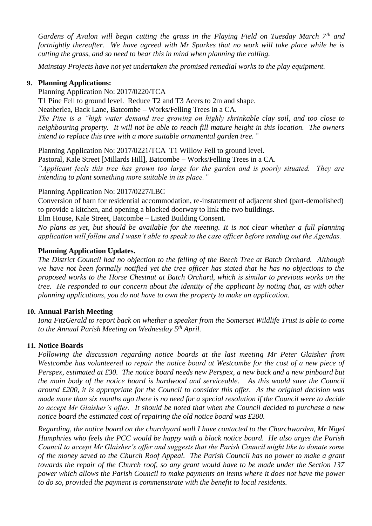*Gardens of Avalon will begin cutting the grass in the Playing Field on Tuesday March 7th and fortnightly thereafter. We have agreed with Mr Sparkes that no work will take place while he is cutting the grass, and so need to bear this in mind when planning the rolling.*

*Mainstay Projects have not yet undertaken the promised remedial works to the play equipment.* 

#### **9. Planning Applications:**

Planning Application No: 2017/0220/TCA

T1 Pine Fell to ground level. Reduce T2 and T3 Acers to 2m and shape.

Neatherlea, Back Lane, Batcombe – Works/Felling Trees in a CA.

*The Pine is a "high water demand tree growing on highly shrinkable clay soil, and too close to neighbouring property. It will not be able to reach fill mature height in this location. The owners intend to replace this tree with a more suitable ornamental garden tree."*

Planning Application No: 2017/0221/TCA T1 Willow Fell to ground level.

Pastoral, Kale Street [Millards Hill], Batcombe – Works/Felling Trees in a CA.

*"Applicant feels this tree has grown too large for the garden and is poorly situated. They are intending to plant something more suitable in its place."* 

#### Planning Application No: 2017/0227/LBC

Conversion of barn for residential accommodation, re-instatement of adjacent shed (part-demolished) to provide a kitchen, and opening a blocked doorway to link the two buildings.

Elm House, Kale Street, Batcombe – Listed Building Consent.

*No plans as yet, but should be available for the meeting. It is not clear whether a full planning application will follow and I wasn't able to speak to the case officer before sending out the Agendas.*

#### **Planning Application Updates.**

*The District Council had no objection to the felling of the Beech Tree at Batch Orchard. Although we have not been formally notified yet the tree officer has stated that he has no objections to the proposed works to the Horse Chestnut at Batch Orchard, which is similar to previous works on the tree. He responded to our concern about the identity of the applicant by noting that, as with other planning applications, you do not have to own the property to make an application.* 

#### **10. Annual Parish Meeting**

*Iona FitzGerald to report back on whether a speaker from the Somerset Wildlife Trust is able to come to the Annual Parish Meeting on Wednesday 5th April.*

#### **11. Notice Boards**

*Following the discussion regarding notice boards at the last meeting Mr Peter Glaisher from Westcombe has volunteered to repair the notice board at Westcombe for the cost of a new piece of Perspex, estimated at £30. The notice board needs new Perspex, a new back and a new pinboard but the main body of the notice board is hardwood and serviceable. As this would save the Council around £200, it is appropriate for the Council to consider this offer. As the original decision was made more than six months ago there is no need for a special resolution if the Council were to decide to accept Mr Glaisher's offer. It should be noted that when the Council decided to purchase a new notice board the estimated cost of repairing the old notice board was £200.*

*Regarding, the notice board on the churchyard wall I have contacted to the Churchwarden, Mr Nigel Humphries who feels the PCC would be happy with a black notice board. He also urges the Parish Council to accept Mr Glaisher's offer and suggests that the Parish Council might like to donate some of the money saved to the Church Roof Appeal. The Parish Council has no power to make a grant towards the repair of the Church roof, so any grant would have to be made under the Section 137 power which allows the Parish Council to make payments on items where it does not have the power to do so, provided the payment is commensurate with the benefit to local residents.*